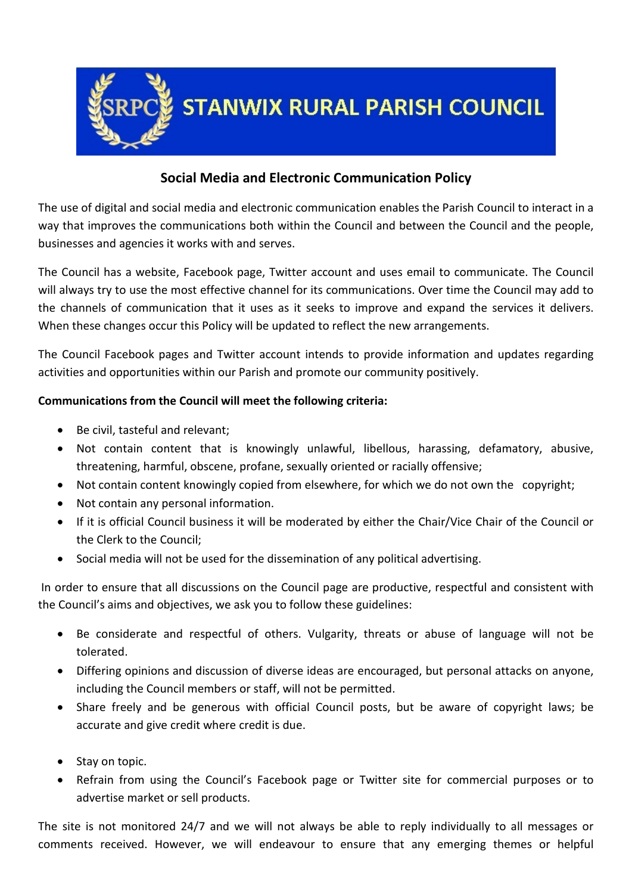

# **Social Media and Electronic Communication Policy**

The use of digital and social media and electronic communication enables the Parish Council to interact in a way that improves the communications both within the Council and between the Council and the people, businesses and agencies it works with and serves.

The Council has a website, Facebook page, Twitter account and uses email to communicate. The Council will always try to use the most effective channel for its communications. Over time the Council may add to the channels of communication that it uses as it seeks to improve and expand the services it delivers. When these changes occur this Policy will be updated to reflect the new arrangements.

The Council Facebook pages and Twitter account intends to provide information and updates regarding activities and opportunities within our Parish and promote our community positively.

# **Communications from the Council will meet the following criteria:**

- Be civil, tasteful and relevant;
- Not contain content that is knowingly unlawful, libellous, harassing, defamatory, abusive, threatening, harmful, obscene, profane, sexually oriented or racially offensive;
- Not contain content knowingly copied from elsewhere, for which we do not own the copyright;
- Not contain any personal information.
- If it is official Council business it will be moderated by either the Chair/Vice Chair of the Council or the Clerk to the Council;
- Social media will not be used for the dissemination of any political advertising.

In order to ensure that all discussions on the Council page are productive, respectful and consistent with the Council's aims and objectives, we ask you to follow these guidelines:

- Be considerate and respectful of others. Vulgarity, threats or abuse of language will not be tolerated.
- Differing opinions and discussion of diverse ideas are encouraged, but personal attacks on anyone, including the Council members or staff, will not be permitted.
- Share freely and be generous with official Council posts, but be aware of copyright laws; be accurate and give credit where credit is due.
- Stay on topic.
- Refrain from using the Council's Facebook page or Twitter site for commercial purposes or to advertise market or sell products.

The site is not monitored 24/7 and we will not always be able to reply individually to all messages or comments received. However, we will endeavour to ensure that any emerging themes or helpful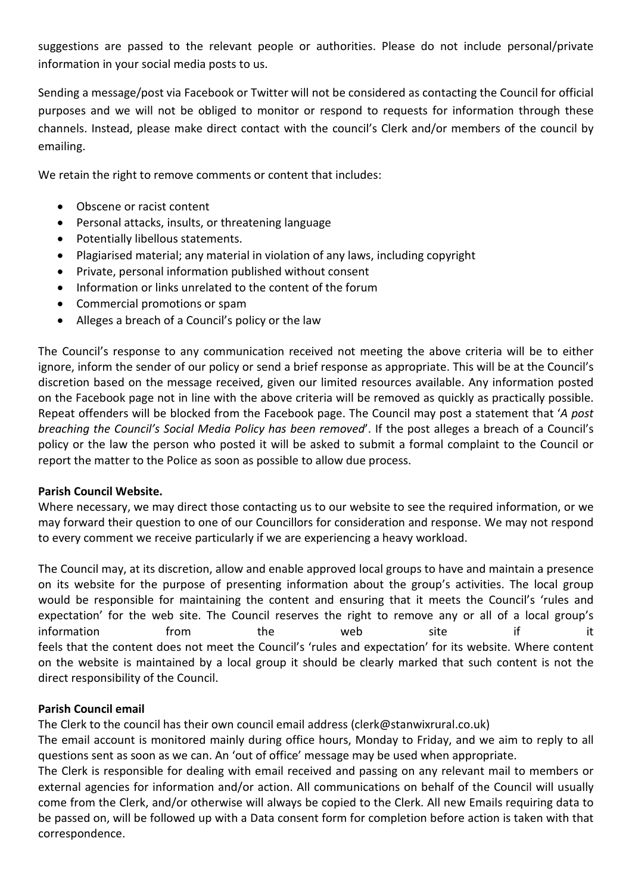suggestions are passed to the relevant people or authorities. Please do not include personal/private information in your social media posts to us.

Sending a message/post via Facebook or Twitter will not be considered as contacting the Council for official purposes and we will not be obliged to monitor or respond to requests for information through these channels. Instead, please make direct contact with the council's Clerk and/or members of the council by emailing.

We retain the right to remove comments or content that includes:

- Obscene or racist content
- Personal attacks, insults, or threatening language
- Potentially libellous statements.
- Plagiarised material; any material in violation of any laws, including copyright
- Private, personal information published without consent
- Information or links unrelated to the content of the forum
- Commercial promotions or spam
- Alleges a breach of a Council's policy or the law

The Council's response to any communication received not meeting the above criteria will be to either ignore, inform the sender of our policy or send a brief response as appropriate. This will be at the Council's discretion based on the message received, given our limited resources available. Any information posted on the Facebook page not in line with the above criteria will be removed as quickly as practically possible. Repeat offenders will be blocked from the Facebook page. The Council may post a statement that '*A post breaching the Council's Social Media Policy has been removed*'. If the post alleges a breach of a Council's policy or the law the person who posted it will be asked to submit a formal complaint to the Council or report the matter to the Police as soon as possible to allow due process.

## **Parish Council Website.**

Where necessary, we may direct those contacting us to our website to see the required information, or we may forward their question to one of our Councillors for consideration and response. We may not respond to every comment we receive particularly if we are experiencing a heavy workload.

The Council may, at its discretion, allow and enable approved local groups to have and maintain a presence on its website for the purpose of presenting information about the group's activities. The local group would be responsible for maintaining the content and ensuring that it meets the Council's 'rules and expectation' for the web site. The Council reserves the right to remove any or all of a local group's information from the web site if it feels that the content does not meet the Council's 'rules and expectation' for its website. Where content on the website is maintained by a local group it should be clearly marked that such content is not the direct responsibility of the Council.

## **Parish Council email**

The Clerk to the council has their own council email address (clerk@stanwixrural.co.uk)

The email account is monitored mainly during office hours, Monday to Friday, and we aim to reply to all questions sent as soon as we can. An 'out of office' message may be used when appropriate.

The Clerk is responsible for dealing with email received and passing on any relevant mail to members or external agencies for information and/or action. All communications on behalf of the Council will usually come from the Clerk, and/or otherwise will always be copied to the Clerk. All new Emails requiring data to be passed on, will be followed up with a Data consent form for completion before action is taken with that correspondence.